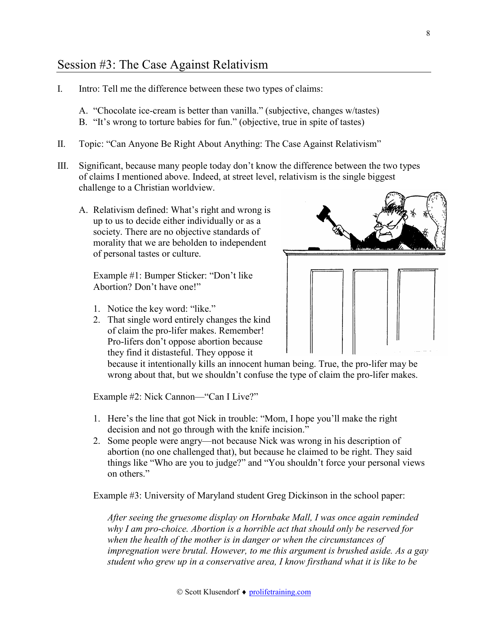## © Scott Klusendorf ♦ prolifetraining.com

I. Intro: Tell me the difference between these two types of claims:

Session #3: The Case Against Relativism

- A. "Chocolate ice-cream is better than vanilla." (subjective, changes w/tastes)
- B. "It's wrong to torture babies for fun." (objective, true in spite of tastes)
- II. Topic: "Can Anyone Be Right About Anything: The Case Against Relativism"
- III. Significant, because many people today don't know the difference between the two types of claims I mentioned above. Indeed, at street level, relativism is the single biggest challenge to a Christian worldview.
	- A. Relativism defined: What's right and wrong is up to us to decide either individually or as a society. There are no objective standards of morality that we are beholden to independent of personal tastes or culture.

Example #1: Bumper Sticker: "Don't like Abortion? Don't have one!"

- 1. Notice the key word: "like."
- 2. That single word entirely changes the kind of claim the pro-lifer makes. Remember! Pro-lifers don't oppose abortion because they find it distasteful. They oppose it



because it intentionally kills an innocent human being. True, the pro-lifer may be wrong about that, but we shouldn't confuse the type of claim the pro-lifer makes.

Example #2: Nick Cannon—"Can I Live?"

- 1. Here's the line that got Nick in trouble: "Mom, I hope you'll make the right decision and not go through with the knife incision."
- 2. Some people were angry—not because Nick was wrong in his description of abortion (no one challenged that), but because he claimed to be right. They said things like "Who are you to judge?" and "You shouldn't force your personal views on others."

Example #3: University of Maryland student Greg Dickinson in the school paper:

*After seeing the gruesome display on Hornbake Mall, I was once again reminded why I am pro-choice. Abortion is a horrible act that should only be reserved for when the health of the mother is in danger or when the circumstances of impregnation were brutal. However, to me this argument is brushed aside. As a gay student who grew up in a conservative area, I know firsthand what it is like to be*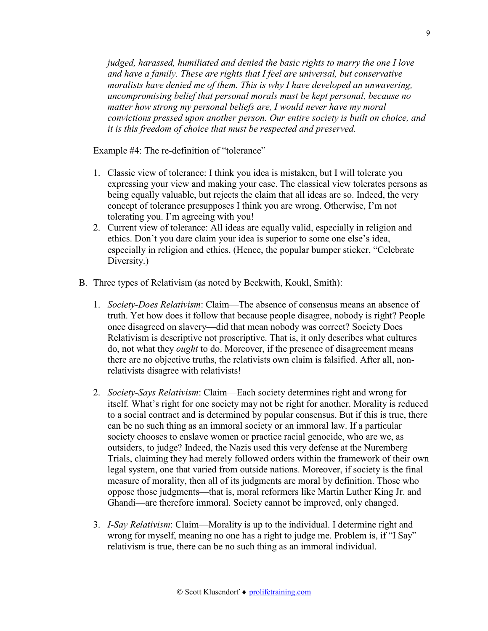*judged, harassed, humiliated and denied the basic rights to marry the one I love and have a family. These are rights that I feel are universal, but conservative moralists have denied me of them. This is why I have developed an unwavering, uncompromising belief that personal morals must be kept personal, because no matter how strong my personal beliefs are, I would never have my moral convictions pressed upon another person. Our entire society is built on choice, and it is this freedom of choice that must be respected and preserved.*

Example #4: The re-definition of "tolerance"

- 1. Classic view of tolerance: I think you idea is mistaken, but I will tolerate you expressing your view and making your case. The classical view tolerates persons as being equally valuable, but rejects the claim that all ideas are so. Indeed, the very concept of tolerance presupposes I think you are wrong. Otherwise, I'm not tolerating you. I'm agreeing with you!
- 2. Current view of tolerance: All ideas are equally valid, especially in religion and ethics. Don't you dare claim your idea is superior to some one else's idea, especially in religion and ethics. (Hence, the popular bumper sticker, "Celebrate Diversity.)
- B. Three types of Relativism (as noted by Beckwith, Koukl, Smith):
	- 1. *Society-Does Relativism*: Claim—The absence of consensus means an absence of truth. Yet how does it follow that because people disagree, nobody is right? People once disagreed on slavery—did that mean nobody was correct? Society Does Relativism is descriptive not proscriptive. That is, it only describes what cultures do, not what they *ought* to do. Moreover, if the presence of disagreement means there are no objective truths, the relativists own claim is falsified. After all, nonrelativists disagree with relativists!
	- 2. *Society-Says Relativism*: Claim—Each society determines right and wrong for itself. What's right for one society may not be right for another. Morality is reduced to a social contract and is determined by popular consensus. But if this is true, there can be no such thing as an immoral society or an immoral law. If a particular society chooses to enslave women or practice racial genocide, who are we, as outsiders, to judge? Indeed, the Nazis used this very defense at the Nuremberg Trials, claiming they had merely followed orders within the framework of their own legal system, one that varied from outside nations. Moreover, if society is the final measure of morality, then all of its judgments are moral by definition. Those who oppose those judgments—that is, moral reformers like Martin Luther King Jr. and Ghandi—are therefore immoral. Society cannot be improved, only changed.
	- 3. *I-Say Relativism*: Claim—Morality is up to the individual. I determine right and wrong for myself, meaning no one has a right to judge me. Problem is, if "I Say" relativism is true, there can be no such thing as an immoral individual.